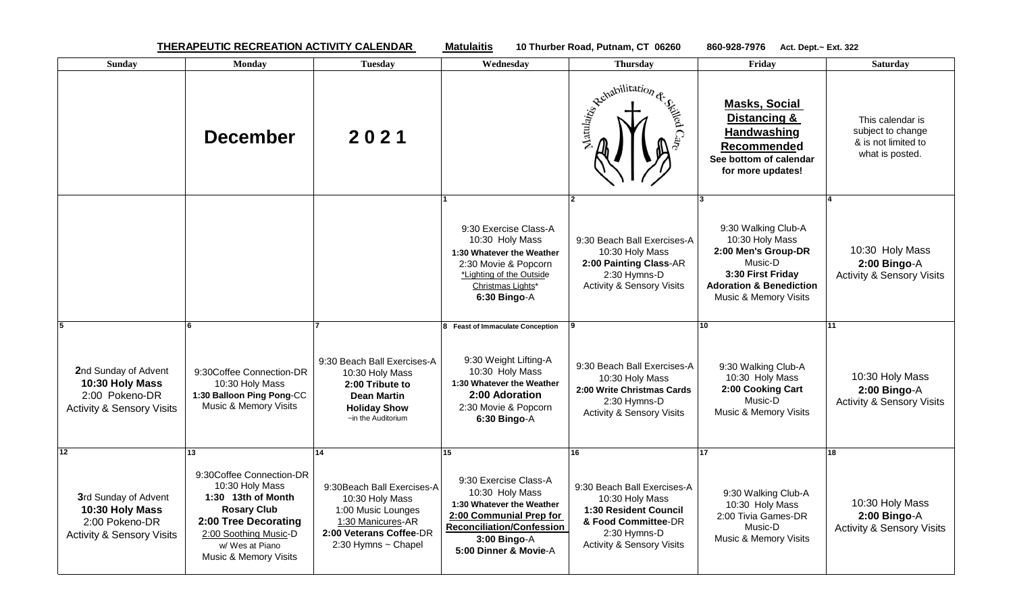**THERAPEUTIC RECREATION ACTIVITY CALENDAR Matulaitis 10 Thurber Road, Putnam, CT 06260 860-928-7976 Act. Dept.~ Ext. 322** 

| <b>Sunday</b>                                                                                                         | <b>Monday</b>                                                                                                                                                                              | <b>Tuesday</b>                                                                                                                                           | Wednesday                                                                                                                                                                           | <b>Thursday</b>                                                                                                                                                     | Friday                                                                                                                                                       | <b>Saturday</b>                                                                 |
|-----------------------------------------------------------------------------------------------------------------------|--------------------------------------------------------------------------------------------------------------------------------------------------------------------------------------------|----------------------------------------------------------------------------------------------------------------------------------------------------------|-------------------------------------------------------------------------------------------------------------------------------------------------------------------------------------|---------------------------------------------------------------------------------------------------------------------------------------------------------------------|--------------------------------------------------------------------------------------------------------------------------------------------------------------|---------------------------------------------------------------------------------|
|                                                                                                                       | <b>December</b>                                                                                                                                                                            | 2021                                                                                                                                                     |                                                                                                                                                                                     | Remabilitation de Sierra                                                                                                                                            | <b>Masks, Social</b><br>Distancing &<br>Handwashing<br>Recommended<br>See bottom of calendar<br>for more updates!                                            | This calendar is<br>subject to change<br>& is not limited to<br>what is posted. |
|                                                                                                                       |                                                                                                                                                                                            |                                                                                                                                                          | 9:30 Exercise Class-A<br>10:30 Holy Mass<br>1:30 Whatever the Weather<br>2:30 Movie & Popcorn<br>*Lighting of the Outside<br>Christmas Lights*<br>6:30 Bingo-A                      | 9:30 Beach Ball Exercises-A<br>10:30 Holy Mass<br>2:00 Painting Class-AR<br>2:30 Hymns-D<br><b>Activity &amp; Sensory Visits</b>                                    | 9:30 Walking Club-A<br>10:30 Holy Mass<br>2:00 Men's Group-DR<br>Music-D<br>3:30 First Friday<br><b>Adoration &amp; Benediction</b><br>Music & Memory Visits | 10:30 Holy Mass<br>$2:00$ Bingo-A<br><b>Activity &amp; Sensory Visits</b>       |
| 2nd Sunday of Advent<br>10:30 Holy Mass<br>2:00 Pokeno-DR<br><b>Activity &amp; Sensory Visits</b>                     | 9:30Coffee Connection-DR<br>10:30 Holy Mass<br>1:30 Balloon Ping Pong-CC<br>Music & Memory Visits                                                                                          | 9:30 Beach Ball Exercises-A<br>10:30 Holy Mass<br>2:00 Tribute to<br><b>Dean Martin</b><br><b>Holiday Show</b><br>$\sim$ in the Auditorium               | 8 Feast of Immaculate Conception<br>9:30 Weight Lifting-A<br>10:30 Holy Mass<br>1:30 Whatever the Weather<br>2:00 Adoration<br>2:30 Movie & Popcorn<br>6:30 Bingo-A                 | 9:30 Beach Ball Exercises-A<br>10:30 Holy Mass<br>2:00 Write Christmas Cards<br>2:30 Hymns-D<br><b>Activity &amp; Sensory Visits</b>                                | 10<br>9:30 Walking Club-A<br>10:30 Holy Mass<br>2:00 Cooking Cart<br>Music-D<br>Music & Memory Visits                                                        | 11<br>10:30 Holy Mass<br>$2:00$ Bingo-A<br><b>Activity &amp; Sensory Visits</b> |
| 12 <sup>12</sup><br>3rd Sunday of Advent<br>10:30 Holy Mass<br>2:00 Pokeno-DR<br><b>Activity &amp; Sensory Visits</b> | 13<br>9:30Coffee Connection-DR<br>10:30 Holy Mass<br>1:30 13th of Month<br><b>Rosary Club</b><br>2:00 Tree Decorating<br>2:00 Soothing Music-D<br>w/ Wes at Piano<br>Music & Memory Visits | 14<br>9:30 Beach Ball Exercises-A<br>10:30 Holy Mass<br>1:00 Music Lounges<br>1:30 Manicures-AR<br>2:00 Veterans Coffee-DR<br>$2:30$ Hymns $\sim$ Chapel | 15<br>9:30 Exercise Class-A<br>10:30 Holy Mass<br>1:30 Whatever the Weather<br>2:00 Communial Prep for<br><b>Reconciliation/Confession</b><br>3:00 Bingo-A<br>5:00 Dinner & Movie-A | 16<br>9:30 Beach Ball Exercises-A<br>10:30 Holy Mass<br><b>1:30 Resident Council</b><br>& Food Committee-DR<br>2:30 Hymns-D<br><b>Activity &amp; Sensory Visits</b> | 17<br>9:30 Walking Club-A<br>10:30 Holy Mass<br>2:00 Tivia Games-DR<br>Music-D<br>Music & Memory Visits                                                      | 18<br>10:30 Holy Mass<br>2:00 Bingo-A<br><b>Activity &amp; Sensory Visits</b>   |